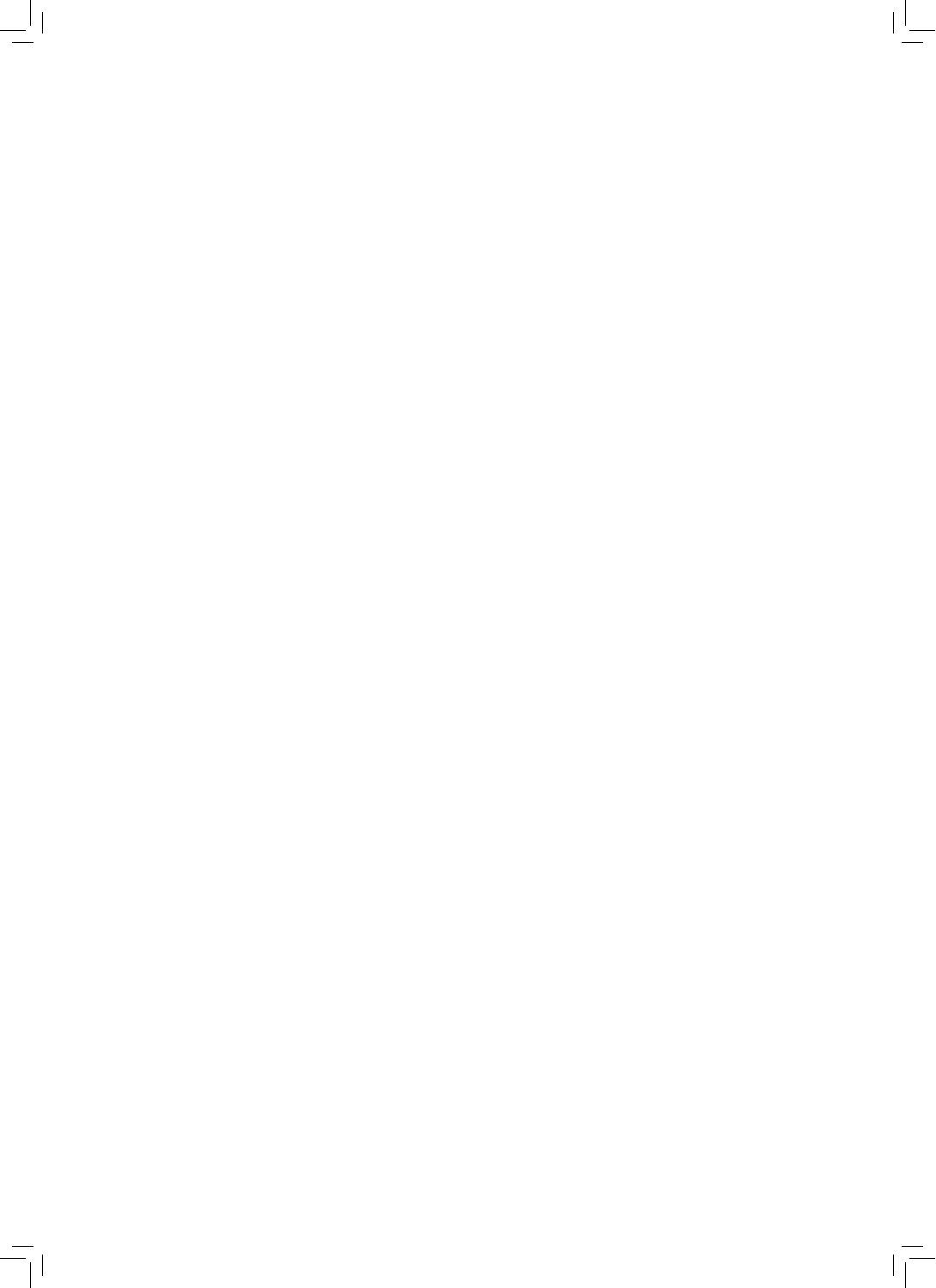$\equiv$  $\frac{1}{\sqrt{2}}$ 

 $\sqrt{\frac{1}{1-\frac{1}{1-\frac{1}{1-\frac{1}{1-\frac{1}{1-\frac{1}{1-\frac{1}{1-\frac{1}{1-\frac{1}{1-\frac{1}{1-\frac{1}{1-\frac{1}{1-\frac{1}{1-\frac{1}{1-\frac{1}{1-\frac{1}{1-\frac{1}{1-\frac{1}{1-\frac{1}{1-\frac{1}{1-\frac{1}{1-\frac{1}{1-\frac{1}{1-\frac{1}{1-\frac{1}{1-\frac{1}{1-\frac{1}{1-\frac{1}{1-\frac{1}{1-\frac{1}{1-\frac{1}{1-\frac{1}{1-\frac{1}{1-\frac{1}{1-\frac{1}{1-\frac{1}{1-\frac$ 

 $\frac{1}{\sqrt{1}}$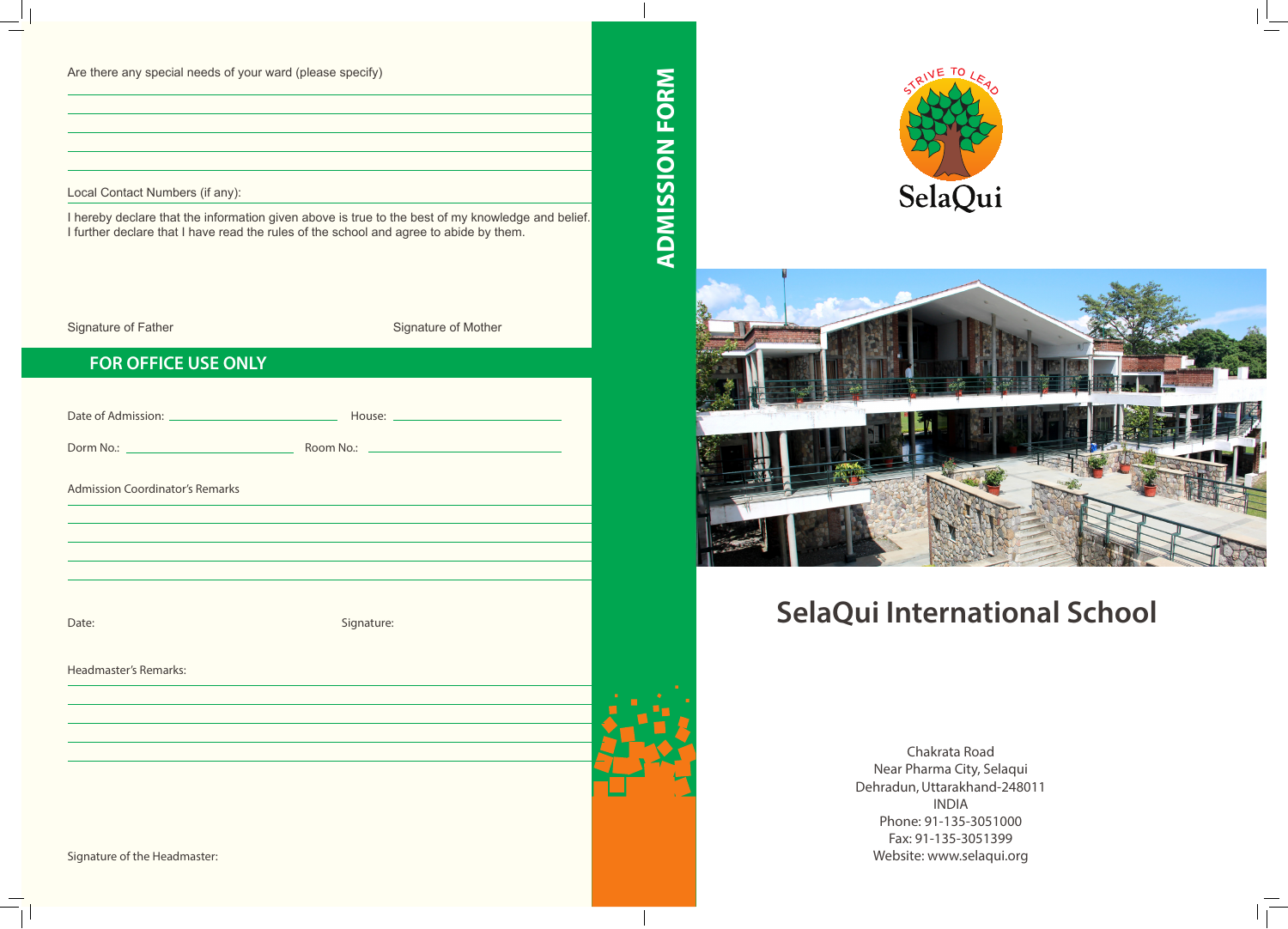## **SelaQui International School**

Chakrata Road Near Pharma City, Selaqui Dehradun, Uttarakhand-248011 INDIA Phone: 91-135-3051000 Fax: 91-135-3051399

I hereby declare that the information given above is true to the best of my knowledge and belief. I further declare that I have read the rules of the school and agree to abide by them.

Signature of Father Signature of Mother

Website: www.selaqui.org







Are there any special needs of your ward (please specify)

Local Contact Numbers (if any):

## **FOR OFFICE USE ONLY**

Headmaster's Remarks:

| Dorm No.: <u>_________________________________</u> |  |
|----------------------------------------------------|--|
| <b>Admission Coordinator's Remarks</b>             |  |

Date: Signature: Signature: Signature: Signature: Signature: Signature: Signature: Signature: Signature: Signature: Signature: Signature: Signature: Signature: Signature: Signature: Signature: Signature: Signature: Signatu

Signature of the Headmaster: